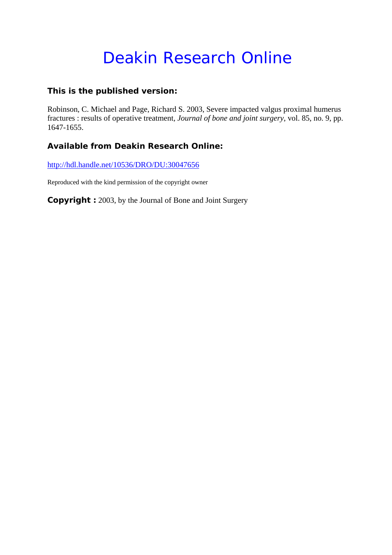## Deakin Research Online

### **This is the published version:**

Robinson, C. Michael and Page, Richard S. 2003, Severe impacted valgus proximal humerus fractures : results of operative treatment*, Journal of bone and joint surgery*, vol. 85, no. 9, pp. 1647-1655.

## **Available from Deakin Research Online:**

http://hdl.handle.net/10536/DRO/DU:30047656

Reproduced with the kind permission of the copyright owner

**Copyright :** 2003, by the Journal of Bone and Joint Surgery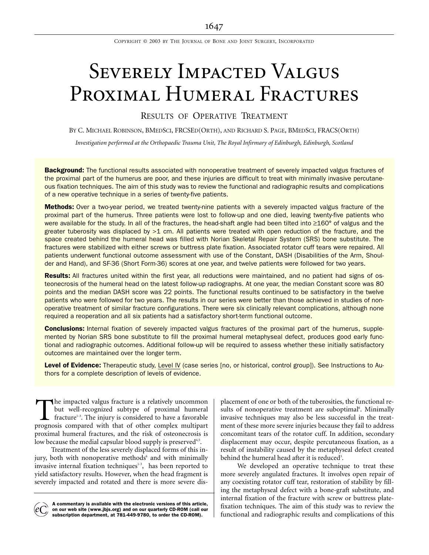COPYRIGHT © 2003 BY THE JOURNAL OF BONE AND JOINT SURGERY, INCORPORATED

# SEVERELY IMPACTED VALGUS PROXIMAL HUMERAL FRACTURES

RESULTS OF OPERATIVE TREATMENT

BY C. MICHAEL ROBINSON, BMEDSCI, FRCSED(ORTH), AND RICHARD S. PAGE, BMEDSCI, FRACS(ORTH)

*Investigation performed at the Orthopaedic Trauma Unit, The Royal Infirmary of Edinburgh, Edinburgh, Scotland*

**Background:** The functional results associated with nonoperative treatment of severely impacted valgus fractures of the proximal part of the humerus are poor, and these injuries are difficult to treat with minimally invasive percutaneous fixation techniques. The aim of this study was to review the functional and radiographic results and complications of a new operative technique in a series of twenty-five patients.

Methods: Over a two-year period, we treated twenty-nine patients with a severely impacted valgus fracture of the proximal part of the humerus. Three patients were lost to follow-up and one died, leaving twenty-five patients who were available for the study. In all of the fractures, the head-shaft angle had been tilted into ≥160° of valgus and the greater tuberosity was displaced by >1 cm. All patients were treated with open reduction of the fracture, and the space created behind the humeral head was filled with Norian Skeletal Repair System (SRS) bone substitute. The fractures were stabilized with either screws or buttress plate fixation. Associated rotator cuff tears were repaired. All patients underwent functional outcome assessment with use of the Constant, DASH (Disabilities of the Arm, Shoulder and Hand), and SF-36 (Short Form-36) scores at one year, and twelve patients were followed for two years.

Results: All fractures united within the first year, all reductions were maintained, and no patient had signs of osteonecrosis of the humeral head on the latest follow-up radiographs. At one year, the median Constant score was 80 points and the median DASH score was 22 points. The functional results continued to be satisfactory in the twelve patients who were followed for two years. The results in our series were better than those achieved in studies of nonoperative treatment of similar fracture configurations. There were six clinically relevant complications, although none required a reoperation and all six patients had a satisfactory short-term functional outcome.

**Conclusions:** Internal fixation of severely impacted valgus fractures of the proximal part of the humerus, supplemented by Norian SRS bone substitute to fill the proximal humeral metaphyseal defect, produces good early functional and radiographic outcomes. Additional follow-up will be required to assess whether these initially satisfactory outcomes are maintained over the longer term.

Level of Evidence: Therapeutic study, Level IV (case series [no, or historical, control group]). See Instructions to Authors for a complete description of levels of evidence.

he impacted valgus fracture is a relatively uncommon but well-recognized subtype of proximal humeral fracture<sup>1-3</sup>. The injury is considered to have a favorable The impacted valgus fracture is a relatively uncommon<br>but well-recognized subtype of proximal humeral<br>fracture<sup>1-3</sup>. The injury is considered to have a favorable<br>prognosis compared with that of other complex multipart proximal humeral fractures, and the risk of osteonecrosis is low because the medial capsular blood supply is preserved<sup>4,5</sup>.

Treatment of the less severely displaced forms of this injury, both with nonoperative methods<sup>6</sup> and with minimally invasive internal fixation techniques<sup>1-3</sup>, has been reported to yield satisfactory results. However, when the head fragment is severely impacted and rotated and there is more severe dis-

A commentary is available with the electronic versions of this article, on our web site (www.jbjs.org) and on our quarterly CD-ROM (call our subscription department, at 781-449-9780, to order the CD-ROM).

placement of one or both of the tuberosities, the functional results of nonoperative treatment are suboptimal<sup>6</sup>. Minimally invasive techniques may also be less successful in the treatment of these more severe injuries because they fail to address concomitant tears of the rotator cuff. In addition, secondary displacement may occur, despite percutaneous fixation, as a result of instability caused by the metaphyseal defect created behind the humeral head after it is reduced<sup>3</sup>.

We developed an operative technique to treat these more severely angulated fractures. It involves open repair of any coexisting rotator cuff tear, restoration of stability by filling the metaphyseal defect with a bone-graft substitute, and internal fixation of the fracture with screw or buttress platefixation techniques. The aim of this study was to review the functional and radiographic results and complications of this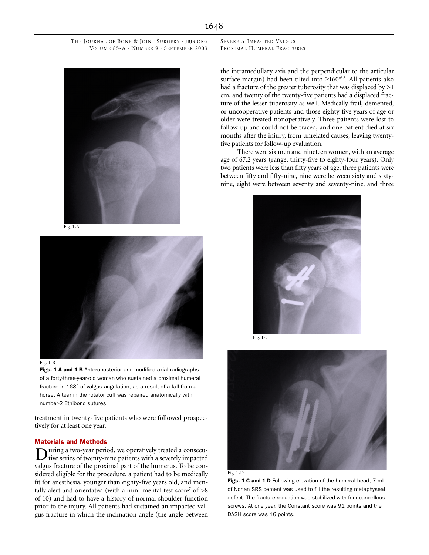Fig. 1-A



#### Fig. 1-B

Figs. 1-A and 1-B Anteroposterior and modified axial radiographs of a forty-three-year-old woman who sustained a proximal humeral fracture in 168° of valgus angulation, as a result of a fall from a horse. A tear in the rotator cuff was repaired anatomically with number-2 Ethibond sutures.

treatment in twenty-five patients who were followed prospectively for at least one year.

#### Materials and Methods

uring a two-year period, we operatively treated a consecu-D uring a two-year period, we operatively treated a consecu-<br>tive series of twenty-nine patients with a severely impacted valgus fracture of the proximal part of the humerus. To be considered eligible for the procedure, a patient had to be medically fit for anesthesia, younger than eighty-five years old, and mentally alert and orientated (with a mini-mental test score<sup>7</sup> of  $>8$ of 10) and had to have a history of normal shoulder function prior to the injury. All patients had sustained an impacted valgus fracture in which the inclination angle (the angle between SEVERELY IMPACTED VALGUS PROXIMAL HUMERAL FRACTURES

the intramedullary axis and the perpendicular to the articular surface margin) had been tilted into  $\geq 160^{\circ8,9}$ . All patients also had a fracture of the greater tuberosity that was displaced by  $>1$ cm, and twenty of the twenty-five patients had a displaced fracture of the lesser tuberosity as well. Medically frail, demented, or uncooperative patients and those eighty-five years of age or older were treated nonoperatively. Three patients were lost to follow-up and could not be traced, and one patient died at six months after the injury, from unrelated causes, leaving twentyfive patients for follow-up evaluation.

There were six men and nineteen women, with an average age of 67.2 years (range, thirty-five to eighty-four years). Only two patients were less than fifty years of age, three patients were between fifty and fifty-nine, nine were between sixty and sixtynine, eight were between seventy and seventy-nine, and three



Fig. 1-C





Figs. 1-C and 1-D Following elevation of the humeral head, 7 mL of Norian SRS cement was used to fill the resulting metaphyseal defect. The fracture reduction was stabilized with four cancellous screws. At one year, the Constant score was 91 points and the DASH score was 16 points.

1648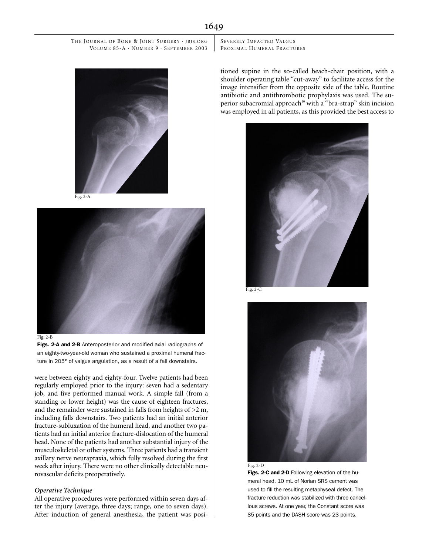



Figs. 2-A and 2-B Anteroposterior and modified axial radiographs of an eighty-two-year-old woman who sustained a proximal humeral fracture in 205° of valgus angulation, as a result of a fall downstairs.

were between eighty and eighty-four. Twelve patients had been regularly employed prior to the injury: seven had a sedentary job, and five performed manual work. A simple fall (from a standing or lower height) was the cause of eighteen fractures, and the remainder were sustained in falls from heights of  $>2$  m, including falls downstairs. Two patients had an initial anterior fracture-subluxation of the humeral head, and another two patients had an initial anterior fracture-dislocation of the humeral head. None of the patients had another substantial injury of the musculoskeletal or other systems. Three patients had a transient axillary nerve neurapraxia, which fully resolved during the first week after injury. There were no other clinically detectable neurovascular deficits preoperatively.

#### *Operative Technique*

All operative procedures were performed within seven days after the injury (average, three days; range, one to seven days). After induction of general anesthesia, the patient was posiSEVERELY IMPACTED VALGUS PROXIMAL HUMERAL FRACTURES

tioned supine in the so-called beach-chair position, with a shoulder operating table "cut-away" to facilitate access for the image intensifier from the opposite side of the table. Routine antibiotic and antithrombotic prophylaxis was used. The superior subacromial approach<sup>10</sup> with a "bra-strap" skin incision was employed in all patients, as this provided the best access to



Fig. 2-C





Figs. 2-C and 2-D Following elevation of the humeral head, 10 mL of Norian SRS cement was used to fill the resulting metaphyseal defect. The fracture reduction was stabilized with three cancellous screws. At one year, the Constant score was 85 points and the DASH score was 23 points.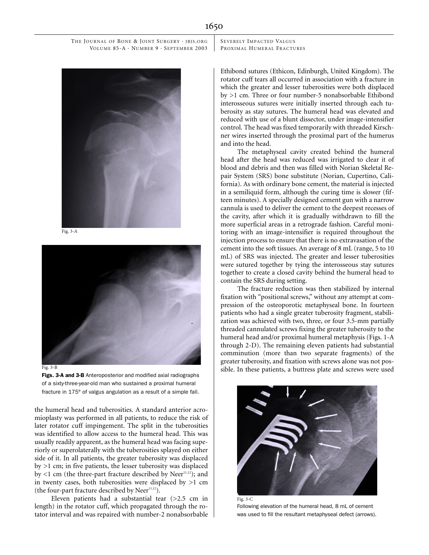SEVERELY IMPACTED VALGUS PROXIMAL HUMERAL FRACTURES



Fig. 3-A



Figs. 3-A and 3-B Anteroposterior and modified axial radiographs of a sixty-three-year-old man who sustained a proximal humeral fracture in 175° of valgus angulation as a result of a simple fall.

the humeral head and tuberosities. A standard anterior acromioplasty was performed in all patients, to reduce the risk of later rotator cuff impingement. The split in the tuberosities was identified to allow access to the humeral head. This was usually readily apparent, as the humeral head was facing superiorly or superolaterally with the tuberosities splayed on either side of it. In all patients, the greater tuberosity was displaced by >1 cm; in five patients, the lesser tuberosity was displaced by  $<1$  cm (the three-part fracture described by Neer<sup>11,12</sup>); and in twenty cases, both tuberosities were displaced by  $>1$  cm (the four-part fracture described by Neer $11,12$ ).

Eleven patients had a substantial tear  $(>2.5$  cm in length) in the rotator cuff, which propagated through the rotator interval and was repaired with number-2 nonabsorbable Ethibond sutures (Ethicon, Edinburgh, United Kingdom). The rotator cuff tears all occurred in association with a fracture in which the greater and lesser tuberosities were both displaced by >1 cm. Three or four number-5 nonabsorbable Ethibond interosseous sutures were initially inserted through each tuberosity as stay sutures. The humeral head was elevated and reduced with use of a blunt dissector, under image-intensifier control. The head was fixed temporarily with threaded Kirschner wires inserted through the proximal part of the humerus and into the head.

The metaphyseal cavity created behind the humeral head after the head was reduced was irrigated to clear it of blood and debris and then was filled with Norian Skeletal Repair System (SRS) bone substitute (Norian, Cupertino, California). As with ordinary bone cement, the material is injected in a semiliquid form, although the curing time is slower (fifteen minutes). A specially designed cement gun with a narrow cannula is used to deliver the cement to the deepest recesses of the cavity, after which it is gradually withdrawn to fill the more superficial areas in a retrograde fashion. Careful monitoring with an image-intensifier is required throughout the injection process to ensure that there is no extravasation of the cement into the soft tissues. An average of 8 mL (range, 5 to 10 mL) of SRS was injected. The greater and lesser tuberosities were sutured together by tying the interosseous stay sutures together to create a closed cavity behind the humeral head to contain the SRS during setting.

The fracture reduction was then stabilized by internal fixation with "positional screws," without any attempt at compression of the osteoporotic metaphyseal bone. In fourteen patients who had a single greater tuberosity fragment, stabilization was achieved with two, three, or four 3.5-mm partially threaded cannulated screws fixing the greater tuberosity to the humeral head and/or proximal humeral metaphysis (Figs. 1-A through 2-D). The remaining eleven patients had substantial comminution (more than two separate fragments) of the greater tuberosity, and fixation with screws alone was not possible. In these patients, a buttress plate and screws were used



Following elevation of the humeral head, 8 mL of cement was used to fill the resultant metaphyseal defect (arrows).

1650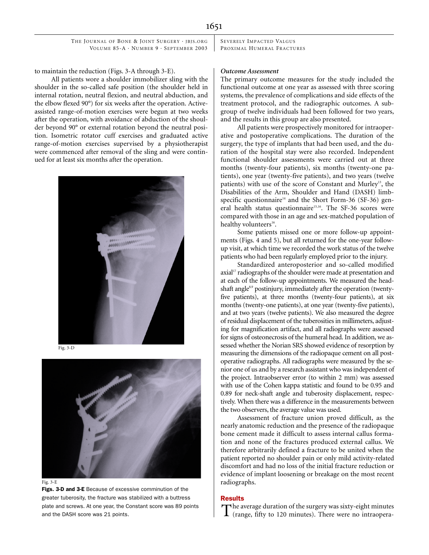SEVERELY IMPACTED VALGUS PROXIMAL HUMERAL FRACTURES

to maintain the reduction (Figs. 3-A through 3-E).

All patients wore a shoulder immobilizer sling with the shoulder in the so-called safe position (the shoulder held in internal rotation, neutral flexion, and neutral abduction, and the elbow flexed 90°) for six weeks after the operation. Activeassisted range-of-motion exercises were begun at two weeks after the operation, with avoidance of abduction of the shoulder beyond 90° or external rotation beyond the neutral position. Isometric rotator cuff exercises and graduated active range-of-motion exercises supervised by a physiotherapist were commenced after removal of the sling and were continued for at least six months after the operation.



Fig. 3-D





Figs. 3-D and 3-E Because of excessive comminution of the greater tuberosity, the fracture was stabilized with a buttress plate and screws. At one year, the Constant score was 89 points and the DASH score was 21 points.

#### *Outcome Assessment*

The primary outcome measures for the study included the functional outcome at one year as assessed with three scoring systems, the prevalence of complications and side effects of the treatment protocol, and the radiographic outcomes. A subgroup of twelve individuals had been followed for two years, and the results in this group are also presented.

All patients were prospectively monitored for intraoperative and postoperative complications. The duration of the surgery, the type of implants that had been used, and the duration of the hospital stay were also recorded. Independent functional shoulder assessments were carried out at three months (twenty-four patients), six months (twenty-one patients), one year (twenty-five patients), and two years (twelve patients) with use of the score of Constant and Murley<sup>13</sup>, the Disabilities of the Arm, Shoulder and Hand (DASH) limbspecific questionnaire<sup>14</sup> and the Short Form-36 (SF-36) general health status questionnaire<sup>15,16</sup>. The SF-36 scores were compared with those in an age and sex-matched population of healthy volunteers<sup>16</sup>.

Some patients missed one or more follow-up appointments (Figs. 4 and 5), but all returned for the one-year followup visit, at which time we recorded the work status of the twelve patients who had been regularly employed prior to the injury.

Standardized anteroposterior and so-called modified axial<sup>17</sup> radiographs of the shoulder were made at presentation and at each of the follow-up appointments. We measured the headshaft angle<sup>8,9</sup> postinjury, immediately after the operation (twentyfive patients), at three months (twenty-four patients), at six months (twenty-one patients), at one year (twenty-five patients), and at two years (twelve patients). We also measured the degree of residual displacement of the tuberosities in millimeters, adjusting for magnification artifact, and all radiographs were assessed for signs of osteonecrosis of the humeral head. In addition, we assessed whether the Norian SRS showed evidence of resorption by measuring the dimensions of the radiopaque cement on all postoperative radiographs. All radiographs were measured by the senior one of us and by a research assistant who was independent of the project. Intraobserver error (to within 2 mm) was assessed with use of the Cohen kappa statistic and found to be 0.95 and 0.89 for neck-shaft angle and tuberosity displacement, respectively. When there was a difference in the measurements between the two observers, the average value was used.

Assessment of fracture union proved difficult, as the nearly anatomic reduction and the presence of the radiopaque bone cement made it difficult to assess internal callus formation and none of the fractures produced external callus. We therefore arbitrarily defined a fracture to be united when the patient reported no shoulder pain or only mild activity-related discomfort and had no loss of the initial fracture reduction or evidence of implant loosening or breakage on the most recent radiographs.

#### Results

The average duration of the surgery was sixty-eight minutes (range, fifty to 120 minutes). There were no intraopera-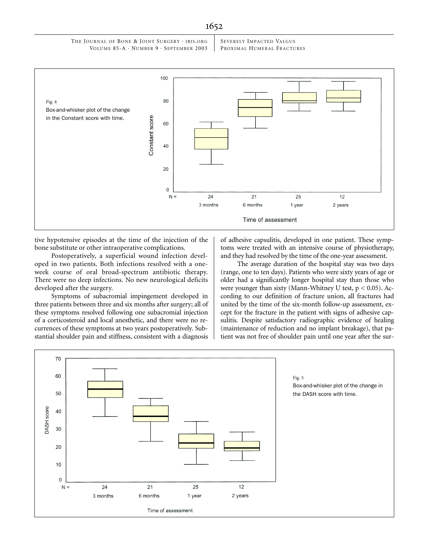SEVERELY IMPACTED VALGUS PROXIMAL HUMERAL FRACTURES



tive hypotensive episodes at the time of the injection of the bone substitute or other intraoperative complications.

Postoperatively, a superficial wound infection developed in two patients. Both infections resolved with a oneweek course of oral broad-spectrum antibiotic therapy. There were no deep infections. No new neurological deficits developed after the surgery.

Symptoms of subacromial impingement developed in three patients between three and six months after surgery; all of these symptoms resolved following one subacromial injection of a corticosteroid and local anesthetic, and there were no recurrences of these symptoms at two years postoperatively. Substantial shoulder pain and stiffness, consistent with a diagnosis

of adhesive capsulitis, developed in one patient. These symptoms were treated with an intensive course of physiotherapy, and they had resolved by the time of the one-year assessment.

The average duration of the hospital stay was two days (range, one to ten days). Patients who were sixty years of age or older had a significantly longer hospital stay than those who were younger than sixty (Mann-Whitney U test,  $p < 0.05$ ). According to our definition of fracture union, all fractures had united by the time of the six-month follow-up assessment, except for the fracture in the patient with signs of adhesive capsulitis. Despite satisfactory radiographic evidence of healing (maintenance of reduction and no implant breakage), that patient was not free of shoulder pain until one year after the sur-

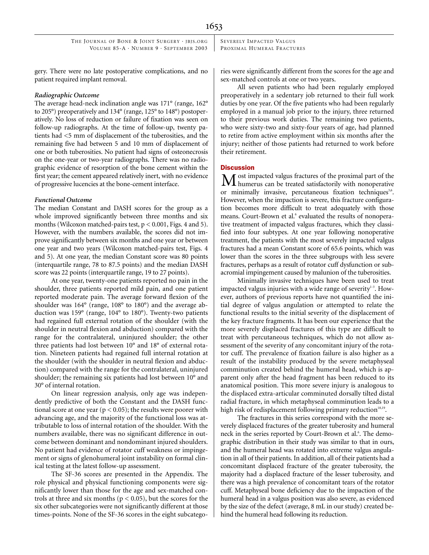SEVERELY IMPACTED VALGUS PROXIMAL HUMERAL FRACTURES

gery. There were no late postoperative complications, and no patient required implant removal.

#### *Radiographic Outcome*

The average head-neck inclination angle was 171° (range, 162° to 205°) preoperatively and 134° (range, 125° to 148°) postoperatively. No loss of reduction or failure of fixation was seen on follow-up radiographs. At the time of follow-up, twenty patients had <5 mm of displacement of the tuberosities, and the remaining five had between 5 and 10 mm of displacement of one or both tuberosities. No patient had signs of osteonecrosis on the one-year or two-year radiographs. There was no radiographic evidence of resorption of the bone cement within the first year; the cement appeared relatively inert, with no evidence of progressive lucencies at the bone-cement interface.

#### *Functional Outcome*

The median Constant and DASH scores for the group as a whole improved significantly between three months and six months (Wilcoxon matched-pairs test,  $p < 0.001$ , Figs. 4 and 5). However, with the numbers available, the scores did not improve significantly between six months and one year or between one year and two years (Wilcoxon matched-pairs test, Figs. 4 and 5). At one year, the median Constant score was 80 points (interquartile range, 78 to 87.5 points) and the median DASH score was 22 points (interquartile range, 19 to 27 points).

At one year, twenty-one patients reported no pain in the shoulder, three patients reported mild pain, and one patient reported moderate pain. The average forward flexion of the shoulder was 164° (range, 108° to 180°) and the average abduction was 159° (range, 104° to 180°). Twenty-two patients had regained full external rotation of the shoulder (with the shoulder in neutral flexion and abduction) compared with the range for the contralateral, uninjured shoulder; the other three patients had lost between 10° and 18° of external rotation. Nineteen patients had regained full internal rotation at the shoulder (with the shoulder in neutral flexion and abduction) compared with the range for the contralateral, uninjured shoulder; the remaining six patients had lost between 10° and 30° of internal rotation.

On linear regression analysis, only age was independently predictive of both the Constant and the DASH functional score at one year ( $p < 0.05$ ); the results were poorer with advancing age, and the majority of the functional loss was attributable to loss of internal rotation of the shoulder. With the numbers available, there was no significant difference in outcome between dominant and nondominant injured shoulders. No patient had evidence of rotator cuff weakness or impingement or signs of glenohumeral joint instability on formal clinical testing at the latest follow-up assessment.

The SF-36 scores are presented in the Appendix. The role physical and physical functioning components were significantly lower than those for the age and sex-matched controls at three and six months ( $p < 0.05$ ), but the scores for the six other subcategories were not significantly different at those times-points. None of the SF-36 scores in the eight subcategories were significantly different from the scores for the age and sex-matched controls at one or two years.

All seven patients who had been regularly employed preoperatively in a sedentary job returned to their full work duties by one year. Of the five patients who had been regularly employed in a manual job prior to the injury, three returned to their previous work duties. The remaining two patients, who were sixty-two and sixty-four years of age, had planned to retire from active employment within six months after the injury; neither of those patients had returned to work before their retirement.

#### **Discussion**

 $\boldsymbol{\Lambda}$  ost impacted valgus fractures of the proximal part of the  $\mathbf M$  ost impacted valgus fractures of the proximal part of the humerus can be treated satisfactorily with nonoperative or minimally invasive, percutaneous fixation techniques<sup>3,6</sup>. However, when the impaction is severe, this fracture configuration becomes more difficult to treat adequately with those means. Court-Brown et al.<sup>6</sup> evaluated the results of nonoperative treatment of impacted valgus fractures, which they classified into four subtypes. At one year following nonoperative treatment, the patients with the most severely impacted valgus fractures had a mean Constant score of 65.6 points, which was lower than the scores in the three subgroups with less severe fractures, perhaps as a result of rotator cuff dysfunction or subacromial impingement caused by malunion of the tuberosities.

Minimally invasive techniques have been used to treat impacted valgus injuries with a wide range of severity<sup>1-3</sup>. However, authors of previous reports have not quantified the initial degree of valgus angulation or attempted to relate the functional results to the initial severity of the displacement of the key fracture fragments. It has been our experience that the more severely displaced fractures of this type are difficult to treat with percutaneous techniques, which do not allow assessment of the severity of any concomitant injury of the rotator cuff. The prevalence of fixation failure is also higher as a result of the instability produced by the severe metaphyseal comminution created behind the humeral head, which is apparent only after the head fragment has been reduced to its anatomical position. This more severe injury is analogous to the displaced extra-articular comminuted dorsally tilted distal radial fracture, in which metaphyseal comminution leads to a high risk of redisplacement following primary reduction<sup>18,19</sup>.

The fractures in this series correspond with the more severely displaced fractures of the greater tuberosity and humeral neck in the series reported by Court-Brown et al.<sup>6</sup>. The demographic distribution in their study was similar to that in ours, and the humeral head was rotated into extreme valgus angulation in all of their patients. In addition, all of their patients had a concomitant displaced fracture of the greater tuberosity, the majority had a displaced fracture of the lesser tuberosity, and there was a high prevalence of concomitant tears of the rotator cuff. Metaphyseal bone deficiency due to the impaction of the humeral head in a valgus position was also severe, as evidenced by the size of the defect (average, 8 mL in our study) created behind the humeral head following its reduction.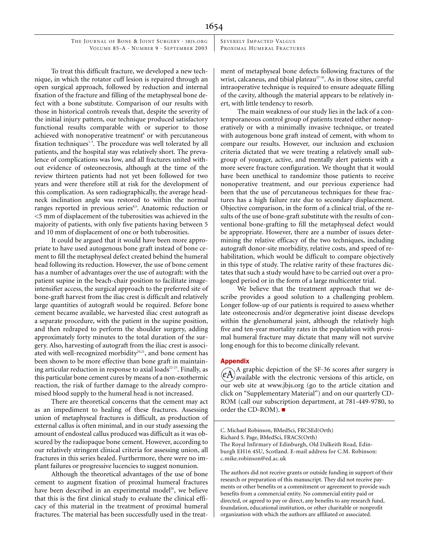SEVERELY IMPACTED VALGUS PROXIMAL HUMERAL FRACTURES

To treat this difficult fracture, we developed a new technique, in which the rotator cuff lesion is repaired through an open surgical approach, followed by reduction and internal fixation of the fracture and filling of the metaphyseal bone defect with a bone substitute. Comparison of our results with those in historical controls reveals that, despite the severity of the initial injury pattern, our technique produced satisfactory functional results comparable with or superior to those achieved with nonoperative treatment<sup>6</sup> or with percutaneous fixation techniques<sup>1-3</sup>. The procedure was well tolerated by all patients, and the hospital stay was relatively short. The prevalence of complications was low, and all fractures united without evidence of osteonecrosis, although at the time of the review thirteen patients had not yet been followed for two years and were therefore still at risk for the development of this complication. As seen radiographically, the average headneck inclination angle was restored to within the normal ranges reported in previous series<sup>8,9</sup>. Anatomic reduction or <5 mm of displacement of the tuberosities was achieved in the majority of patients, with only five patients having between 5 and 10 mm of displacement of one or both tuberosities.

It could be argued that it would have been more appropriate to have used autogenous bone graft instead of bone cement to fill the metaphyseal defect created behind the humeral head following its reduction. However, the use of bone cement has a number of advantages over the use of autograft: with the patient supine in the beach-chair position to facilitate imageintensifier access, the surgical approach to the preferred site of bone-graft harvest from the iliac crest is difficult and relatively large quantities of autograft would be required. Before bone cement became available, we harvested iliac crest autograft as a separate procedure, with the patient in the supine position, and then redraped to perform the shoulder surgery, adding approximately forty minutes to the total duration of the surgery. Also, harvesting of autograft from the iliac crest is associated with well-recognized morbidity $20,21$ , and bone cement has been shown to be more effective than bone graft in maintaining articular reduction in response to axial loads $2^{2-25}$ . Finally, as this particular bone cement cures by means of a non-exothermic reaction, the risk of further damage to the already compromised blood supply to the humeral head is not increased.

There are theoretical concerns that the cement may act as an impediment to healing of these fractures. Assessing union of metaphyseal fractures is difficult, as production of external callus is often minimal, and in our study assessing the amount of endosteal callus produced was difficult as it was obscured by the radiopaque bone cement. However, according to our relatively stringent clinical criteria for assessing union, all fractures in this series healed. Furthermore, there were no implant failures or progressive lucencies to suggest nonunion.

Although the theoretical advantages of the use of bone cement to augment fixation of proximal humeral fractures have been described in an experimental model<sup>26</sup>, we believe that this is the first clinical study to evaluate the clinical efficacy of this material in the treatment of proximal humeral fractures. The material has been successfully used in the treatment of metaphyseal bone defects following fractures of the wrist, calcaneus, and tibial plateau<sup>27-30</sup>. As in those sites, careful intraoperative technique is required to ensure adequate filling of the cavity, although the material appears to be relatively inert, with little tendency to resorb.

The main weakness of our study lies in the lack of a contemporaneous control group of patients treated either nonoperatively or with a minimally invasive technique, or treated with autogenous bone graft instead of cement, with whom to compare our results. However, our inclusion and exclusion criteria dictated that we were treating a relatively small subgroup of younger, active, and mentally alert patients with a more severe fracture configuration. We thought that it would have been unethical to randomize those patients to receive nonoperative treatment, and our previous experience had been that the use of percutaneous techniques for these fractures has a high failure rate due to secondary displacement. Objective comparison, in the form of a clinical trial, of the results of the use of bone-graft substitute with the results of conventional bone-grafting to fill the metaphyseal defect would be appropriate. However, there are a number of issues determining the relative efficacy of the two techniques, including autograft donor-site morbidity, relative costs, and speed of rehabilitation, which would be difficult to compare objectively in this type of study. The relative rarity of these fractures dictates that such a study would have to be carried out over a prolonged period or in the form of a large multicenter trial.

We believe that the treatment approach that we describe provides a good solution to a challenging problem. Longer follow-up of our patients is required to assess whether late osteonecrosis and/or degenerative joint disease develops within the glenohumeral joint, although the relatively high five and ten-year mortality rates in the population with proximal humeral fracture may dictate that many will not survive long enough for this to become clinically relevant.

#### Appendix

A graphic depiction of the SF-36 scores after surgery is available with the electronic versions of this article, on our web site at www.jbjs.org (go to the article citation and click on "Supplementary Material") and on our quarterly CD-ROM (call our subscription department, at 781-449-9780, to order the CD-ROM).

The authors did not receive grants or outside funding in support of their research or preparation of this manuscript. They did not receive payments or other benefits or a commitment or agreement to provide such benefits from a commercial entity. No commercial entity paid or directed, or agreed to pay or direct, any benefits to any research fund, foundation, educational institution, or other charitable or nonprofit organization with which the authors are affiliated or associated.

C. Michael Robinson, BMedSci, FRCSEd(Orth) Richard S. Page, BMedSci, FRACS(Orth) The Royal Infirmary of Edinburgh, Old Dalkeith Road, Edinburgh EH16 4SU, Scotland. E-mail address for C.M. Robinson: c.mike.robinson@ed.ac.uk